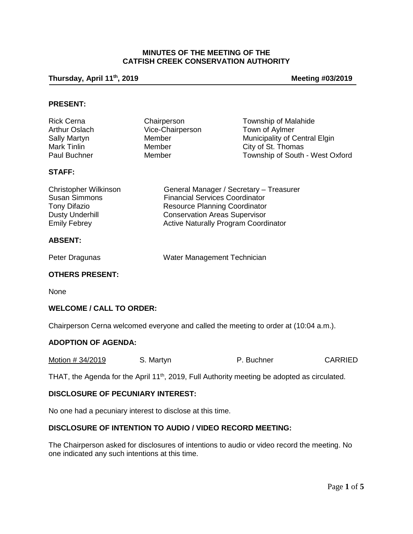## **MINUTES OF THE MEETING OF THE CATFISH CREEK CONSERVATION AUTHORITY**

## **Thursday, April 11th, 2019 Meeting #03/2019**

#### **PRESENT:**

| <b>Rick Cerna</b>    | Chairperson      | Township of Malahide            |
|----------------------|------------------|---------------------------------|
| <b>Arthur Oslach</b> | Vice-Chairperson | Town of Aylmer                  |
| Sally Martyn         | Member           | Municipality of Central Elgin   |
| Mark Tinlin          | Member           | City of St. Thomas              |
| Paul Buchner         | Member           | Township of South - West Oxford |

## **STAFF:**

| <b>Christopher Wilkinson</b> | General Manager / Secretary - Treasurer     |
|------------------------------|---------------------------------------------|
| <b>Susan Simmons</b>         | <b>Financial Services Coordinator</b>       |
| <b>Tony Difazio</b>          | <b>Resource Planning Coordinator</b>        |
| <b>Dusty Underhill</b>       | <b>Conservation Areas Supervisor</b>        |
| <b>Emily Febrey</b>          | <b>Active Naturally Program Coordinator</b> |

#### **ABSENT:**

| Peter Dragunas | Water Management Technician |
|----------------|-----------------------------|
|                |                             |

## **OTHERS PRESENT:**

None

#### **WELCOME / CALL TO ORDER:**

Chairperson Cerna welcomed everyone and called the meeting to order at (10:04 a.m.).

## **ADOPTION OF AGENDA:**

| Motion # 34/2019 | S. Martyn | P. Buchner | <b>CARRIED</b> |
|------------------|-----------|------------|----------------|
|------------------|-----------|------------|----------------|

THAT, the Agenda for the April 11<sup>th</sup>, 2019, Full Authority meeting be adopted as circulated.

#### **DISCLOSURE OF PECUNIARY INTEREST:**

No one had a pecuniary interest to disclose at this time.

# **DISCLOSURE OF INTENTION TO AUDIO / VIDEO RECORD MEETING:**

The Chairperson asked for disclosures of intentions to audio or video record the meeting. No one indicated any such intentions at this time.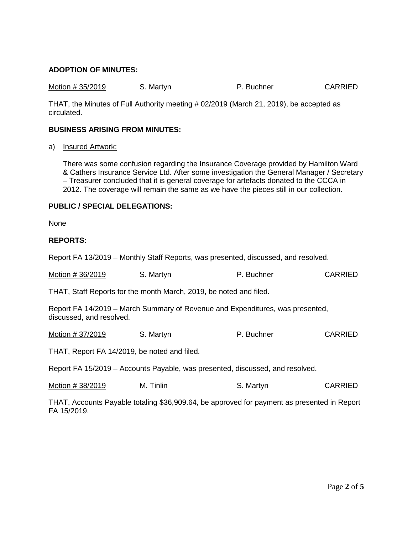## **ADOPTION OF MINUTES:**

Motion # 35/2019 S. Martyn **P. Buchner** CARRIED

THAT, the Minutes of Full Authority meeting # 02/2019 (March 21, 2019), be accepted as circulated.

## **BUSINESS ARISING FROM MINUTES:**

a) Insured Artwork:

There was some confusion regarding the Insurance Coverage provided by Hamilton Ward & Cathers Insurance Service Ltd. After some investigation the General Manager / Secretary – Treasurer concluded that it is general coverage for artefacts donated to the CCCA in 2012. The coverage will remain the same as we have the pieces still in our collection.

# **PUBLIC / SPECIAL DELEGATIONS:**

None

#### **REPORTS:**

Report FA 13/2019 – Monthly Staff Reports, was presented, discussed, and resolved.

| Motion # 36/2019 | S. Martyn | P. Buchner | <b>CARRIED</b> |
|------------------|-----------|------------|----------------|
|------------------|-----------|------------|----------------|

THAT, Staff Reports for the month March, 2019, be noted and filed.

Report FA 14/2019 – March Summary of Revenue and Expenditures, was presented, discussed, and resolved.

Motion # 37/2019 S. Martyn **P. Buchner** CARRIED

THAT, Report FA 14/2019, be noted and filed.

Report FA 15/2019 – Accounts Payable, was presented, discussed, and resolved.

Motion # 38/2019 M. Tinlin S. Martyn S. Martyn

THAT, Accounts Payable totaling \$36,909.64, be approved for payment as presented in Report FA 15/2019.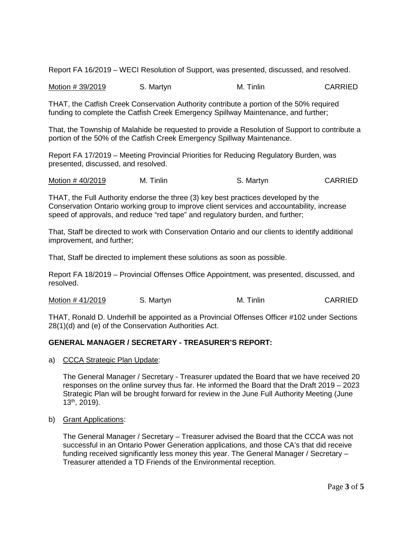Report FA 16/2019 – WECI Resolution of Support, was presented, discussed, and resolved.

Motion # 39/2019 S. Martyn M. Tinlin CARRIED

THAT, the Catfish Creek Conservation Authority contribute a portion of the 50% required funding to complete the Catfish Creek Emergency Spillway Maintenance, and further;

That, the Township of Malahide be requested to provide a Resolution of Support to contribute a portion of the 50% of the Catfish Creek Emergency Spillway Maintenance.

Report FA 17/2019 – Meeting Provincial Priorities for Reducing Regulatory Burden, was presented, discussed, and resolved.

Motion # 40/2019 M. Tinlin S. Martyn S. Martyn CARRIED

THAT, the Full Authority endorse the three (3) key best practices developed by the Conservation Ontario working group to improve client services and accountability, increase speed of approvals, and reduce "red tape" and regulatory burden, and further;

That, Staff be directed to work with Conservation Ontario and our clients to identify additional improvement, and further;

That, Staff be directed to implement these solutions as soon as possible.

Report FA 18/2019 – Provincial Offenses Office Appointment, was presented, discussed, and resolved.

Motion # 41/2019 S. Martyn M. Tinlin CARRIED

THAT, Ronald D. Underhill be appointed as a Provincial Offenses Officer #102 under Sections 28(1)(d) and (e) of the Conservation Authorities Act.

# **GENERAL MANAGER / SECRETARY - TREASURER'S REPORT:**

a) CCCA Strategic Plan Update:

The General Manager / Secretary - Treasurer updated the Board that we have received 20 responses on the online survey thus far. He informed the Board that the Draft 2019 – 2023 Strategic Plan will be brought forward for review in the June Full Authority Meeting (June 13th, 2019).

b) Grant Applications:

The General Manager / Secretary – Treasurer advised the Board that the CCCA was not successful in an Ontario Power Generation applications, and those CA's that did receive funding received significantly less money this year. The General Manager / Secretary – Treasurer attended a TD Friends of the Environmental reception.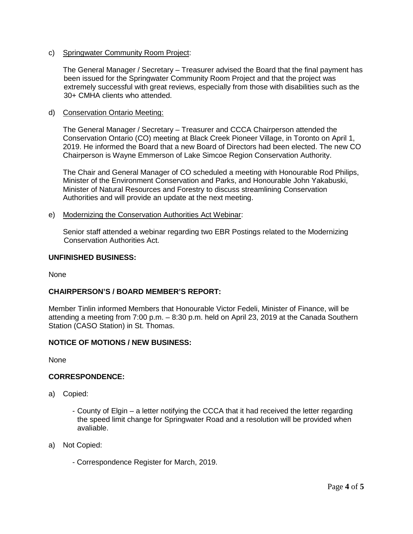c) Springwater Community Room Project:

The General Manager / Secretary – Treasurer advised the Board that the final payment has been issued for the Springwater Community Room Project and that the project was extremely successful with great reviews, especially from those with disabilities such as the 30+ CMHA clients who attended.

d) Conservation Ontario Meeting:

The General Manager / Secretary – Treasurer and CCCA Chairperson attended the Conservation Ontario (CO) meeting at Black Creek Pioneer Village, in Toronto on April 1, 2019. He informed the Board that a new Board of Directors had been elected. The new CO Chairperson is Wayne Emmerson of Lake Simcoe Region Conservation Authority.

The Chair and General Manager of CO scheduled a meeting with Honourable Rod Philips, Minister of the Environment Conservation and Parks, and Honourable John Yakabuski, Minister of Natural Resources and Forestry to discuss streamlining Conservation Authorities and will provide an update at the next meeting.

e) Modernizing the Conservation Authorities Act Webinar:

Senior staff attended a webinar regarding two EBR Postings related to the Modernizing Conservation Authorities Act.

## **UNFINISHED BUSINESS:**

None

# **CHAIRPERSON'S / BOARD MEMBER'S REPORT:**

Member Tinlin informed Members that Honourable Victor Fedeli, Minister of Finance, will be attending a meeting from 7:00 p.m. – 8:30 p.m. held on April 23, 2019 at the Canada Southern Station (CASO Station) in St. Thomas.

# **NOTICE OF MOTIONS / NEW BUSINESS:**

None

# **CORRESPONDENCE:**

- a) Copied:
	- County of Elgin a letter notifying the CCCA that it had received the letter regarding the speed limit change for Springwater Road and a resolution will be provided when avaliable.
- a) Not Copied:
	- Correspondence Register for March, 2019.